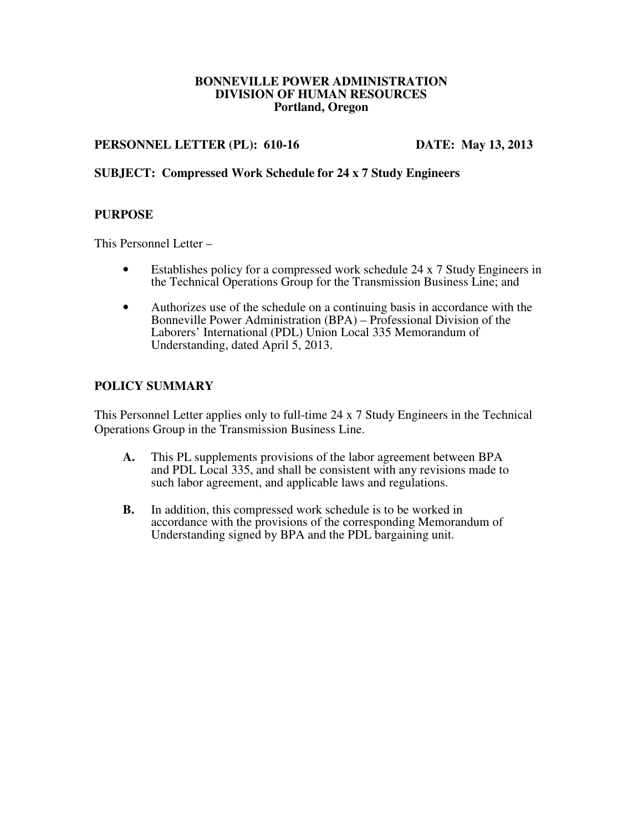#### **BONNEVILLE POWER ADMINISTRATION DIVISION OF HUMAN RESOURCES Portland, Oregon**

#### **PERSONNEL LETTER (PL): 610-16 DATE: May 13, 2013**

## **SUBJECT: Compressed Work Schedule for 24 x 7 Study Engineers**

#### **PURPOSE**

This Personnel Letter –

- Establishes policy for a compressed work schedule 24 x 7 Study Engineers in the Technical Operations Group for the Transmission Business Line; and
- Authorizes use of the schedule on a continuing basis in accordance with the Bonneville Power Administration (BPA) – Professional Division of the Laborers' International (PDL) Union Local 335 Memorandum of Understanding, dated April 5, 2013.

#### **POLICY SUMMARY**

This Personnel Letter applies only to full-time 24 x 7 Study Engineers in the Technical Operations Group in the Transmission Business Line.

- **A.** This PL supplements provisions of the labor agreement between BPA and PDL Local 335, and shall be consistent with any revisions made to such labor agreement, and applicable laws and regulations.
- **B.** In addition, this compressed work schedule is to be worked in accordance with the provisions of the corresponding Memorandum of Understanding signed by BPA and the PDL bargaining unit.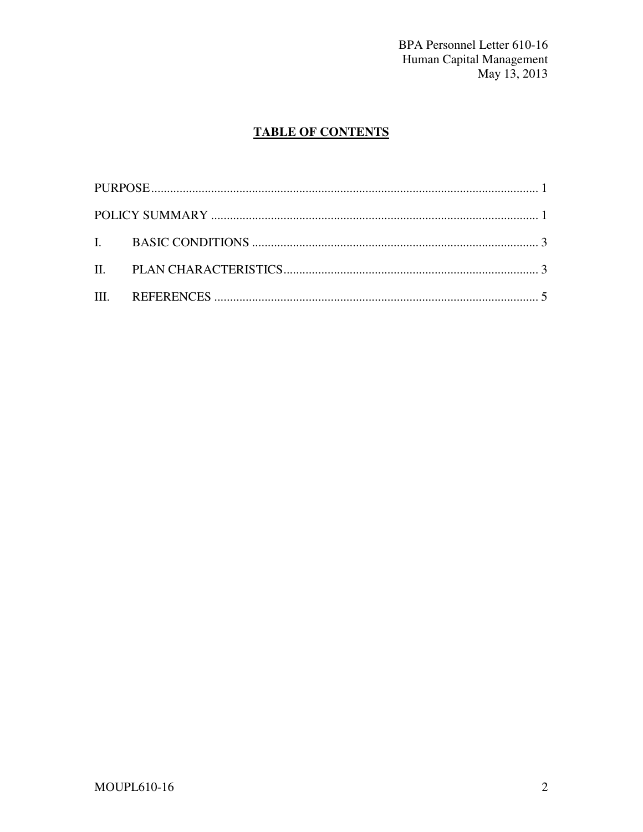BPA Personnel Letter 610-16 Human Capital Management<br>May 13, 2013

# **TABLE OF CONTENTS**

| I. BASIC CONDITIONS $\ldots$ $\ldots$ $\ldots$ $\ldots$ $\ldots$ $\ldots$ $\ldots$ $\ldots$ $\ldots$ $\ldots$ $\ldots$ $\ldots$ $\ldots$ $\ldots$ $\ldots$ $\ldots$ $\ldots$ $\ldots$ $\ldots$ $\ldots$ $\ldots$ $\ldots$ $\ldots$ $\ldots$ $\ldots$ $\ldots$ $\ldots$ $\ldots$ $\ldots$ $\ldots$ $\ldots$ $\ldots$ $\ldots$ $\ld$ |  |
|------------------------------------------------------------------------------------------------------------------------------------------------------------------------------------------------------------------------------------------------------------------------------------------------------------------------------------|--|
|                                                                                                                                                                                                                                                                                                                                    |  |
|                                                                                                                                                                                                                                                                                                                                    |  |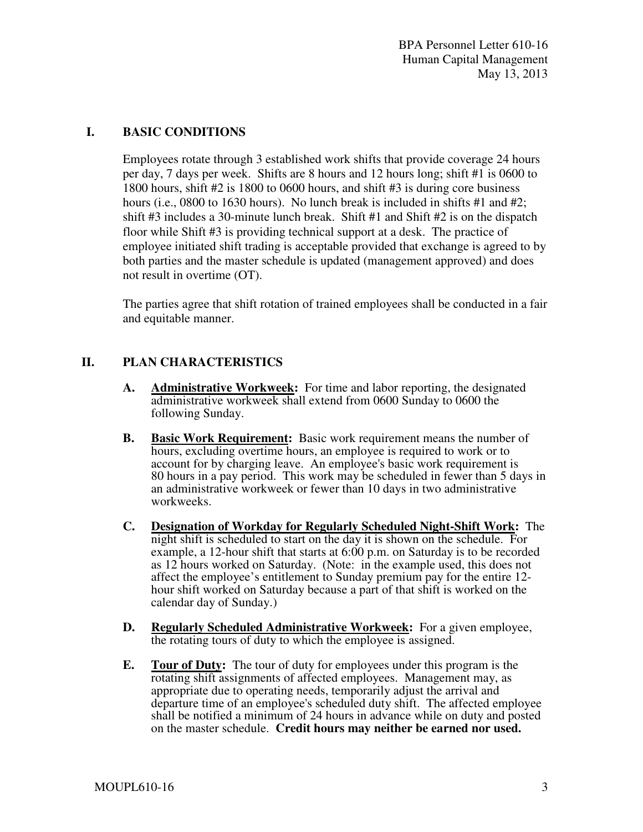#### **I. BASIC CONDITIONS**

Employees rotate through 3 established work shifts that provide coverage 24 hours per day, 7 days per week. Shifts are 8 hours and 12 hours long; shift #1 is 0600 to 1800 hours, shift #2 is 1800 to 0600 hours, and shift #3 is during core business hours (i.e., 0800 to 1630 hours). No lunch break is included in shifts  $#1$  and  $#2$ ; shift #3 includes a 30-minute lunch break. Shift #1 and Shift #2 is on the dispatch floor while Shift #3 is providing technical support at a desk. The practice of employee initiated shift trading is acceptable provided that exchange is agreed to by both parties and the master schedule is updated (management approved) and does not result in overtime (OT).

The parties agree that shift rotation of trained employees shall be conducted in a fair and equitable manner.

## **II. PLAN CHARACTERISTICS**

- **A. Administrative Workweek:** For time and labor reporting, the designated administrative workweek shall extend from 0600 Sunday to 0600 the following Sunday.
- **B. Basic Work Requirement:** Basic work requirement means the number of hours, excluding overtime hours, an employee is required to work or to account for by charging leave. An employee's basic work requirement is 80 hours in a pay period. This work may be scheduled in fewer than 5 days in an administrative workweek or fewer than 10 days in two administrative workweeks.
- **C. Designation of Workday for Regularly Scheduled Night-Shift Work:** The night shift is scheduled to start on the day it is shown on the schedule. For example, a 12-hour shift that starts at 6:00 p.m. on Saturday is to be recorded as 12 hours worked on Saturday. (Note: in the example used, this does not affect the employee's entitlement to Sunday premium pay for the entire 12 hour shift worked on Saturday because a part of that shift is worked on the calendar day of Sunday.)
- **D. Regularly Scheduled Administrative Workweek:** For a given employee, the rotating tours of duty to which the employee is assigned.
- **E. Tour of Duty:** The tour of duty for employees under this program is the rotating shift assignments of affected employees. Management may, as appropriate due to operating needs, temporarily adjust the arrival and departure time of an employee's scheduled duty shift. The affected employee shall be notified a minimum of 24 hours in advance while on duty and posted on the master schedule. **Credit hours may neither be earned nor used.**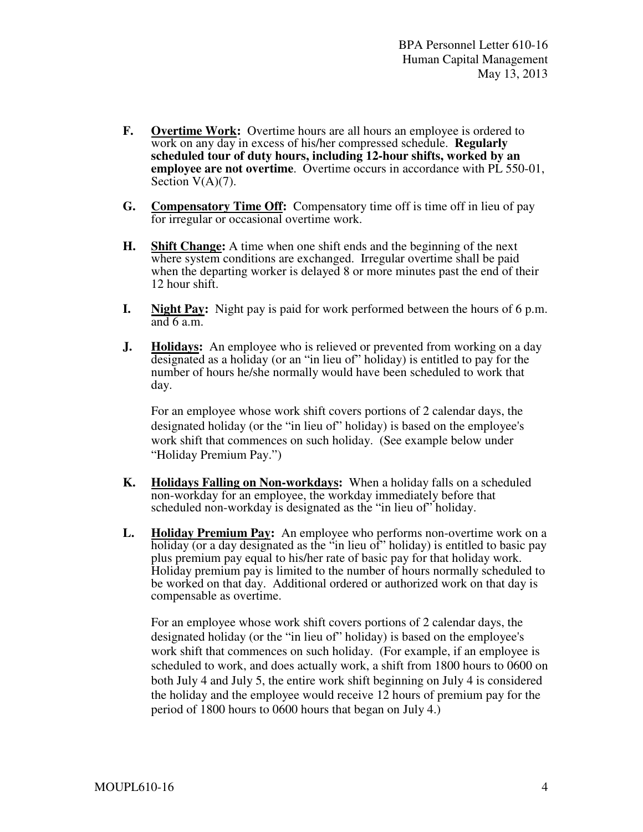- **F. Overtime Work:** Overtime hours are all hours an employee is ordered to work on any day in excess of his/her compressed schedule. **Regularly scheduled tour of duty hours, including 12-hour shifts, worked by an employee are not overtime**. Overtime occurs in accordance with PL 550-01, Section  $V(A)(7)$ .
- **G. Compensatory Time Off:** Compensatory time off is time off in lieu of pay for irregular or occasional overtime work.
- **H. Shift Change:** A time when one shift ends and the beginning of the next where system conditions are exchanged. Irregular overtime shall be paid when the departing worker is delayed 8 or more minutes past the end of their 12 hour shift.
- **I. Night Pay:** Night pay is paid for work performed between the hours of 6 p.m. and 6 a.m.
- **J. Holidays:** An employee who is relieved or prevented from working on a day designated as a holiday (or an "in lieu of" holiday) is entitled to pay for the number of hours he/she normally would have been scheduled to work that day.

For an employee whose work shift covers portions of 2 calendar days, the designated holiday (or the "in lieu of" holiday) is based on the employee's work shift that commences on such holiday. (See example below under "Holiday Premium Pay.")

- **K. Holidays Falling on Non-workdays:** When a holiday falls on a scheduled non-workday for an employee, the workday immediately before that scheduled non-workday is designated as the "in lieu of" holiday.
- **L. Holiday Premium Pay:** An employee who performs non-overtime work on a holiday (or a day designated as the "in lieu of" holiday) is entitled to basic pay plus premium pay equal to his/her rate of basic pay for that holiday work. Holiday premium pay is limited to the number of hours normally scheduled to be worked on that day. Additional ordered or authorized work on that day is compensable as overtime.

For an employee whose work shift covers portions of 2 calendar days, the designated holiday (or the "in lieu of" holiday) is based on the employee's work shift that commences on such holiday. (For example, if an employee is scheduled to work, and does actually work, a shift from 1800 hours to 0600 on both July 4 and July 5, the entire work shift beginning on July 4 is considered the holiday and the employee would receive 12 hours of premium pay for the period of 1800 hours to 0600 hours that began on July 4.)